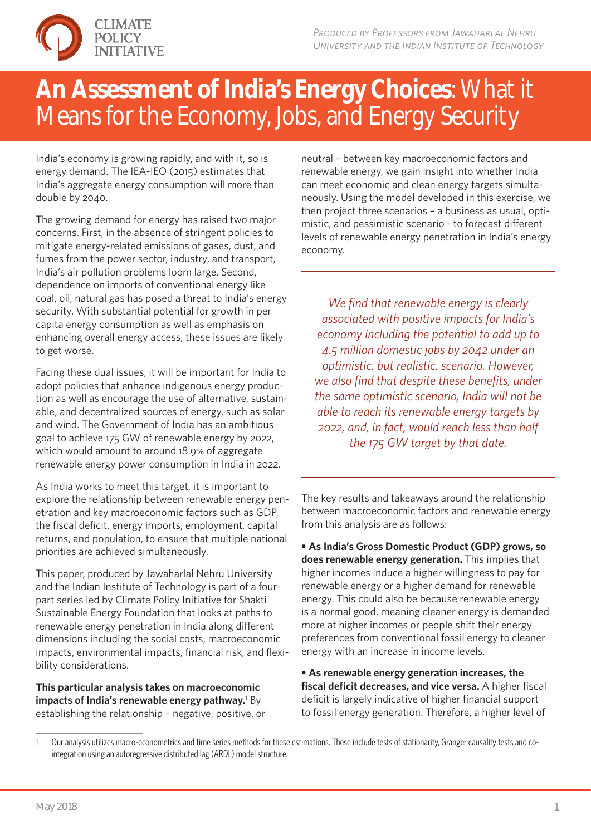

## **An Assessment of India's Energy Choices**: What it Means for the Economy, Jobs, and Energy Security

India's economy is growing rapidly, and with it, so is energy demand. The IEA-IEO (2015) estimates that India's aggregate energy consumption will more than double by 2040.

The growing demand for energy has raised two major concerns. First, in the absence of stringent policies to mitigate energy-related emissions of gases, dust, and fumes from the power sector, industry, and transport, India's air pollution problems loom large. Second, dependence on imports of conventional energy like coal, oil, natural gas has posed a threat to India's energy security. With substantial potential for growth in per capita energy consumption as well as emphasis on enhancing overall energy access, these issues are likely to get worse.

Facing these dual issues, it will be important for India to adopt policies that enhance indigenous energy production as well as encourage the use of alternative, sustainable, and decentralized sources of energy, such as solar and wind. The Government of India has an ambitious goal to achieve 175 GW of renewable energy by 2022, which would amount to around 18.9% of aggregate renewable energy power consumption in India in 2022.

As India works to meet this target, it is important to explore the relationship between renewable energy penetration and key macroeconomic factors such as GDP, the fiscal deficit, energy imports, employment, capital returns, and population, to ensure that multiple national priorities are achieved simultaneously.

This paper, produced by Jawaharlal Nehru University and the Indian Institute of Technology is part of a fourpart series led by Climate Policy Initiative for Shakti Sustainable Energy Foundation that looks at paths to renewable energy penetration in India along different dimensions including the social costs, macroeconomic impacts, environmental impacts, financial risk, and flexibility considerations.

**This particular analysis takes on macroeconomic impacts of India's renewable energy pathway.**<sup>1</sup> By establishing the relationship – negative, positive, or neutral – between key macroeconomic factors and renewable energy, we gain insight into whether India can meet economic and clean energy targets simultaneously. Using the model developed in this exercise, we then project three scenarios – a business as usual, optimistic, and pessimistic scenario - to forecast different levels of renewable energy penetration in India's energy economy.

*We find that renewable energy is clearly associated with positive impacts for India's economy including the potential to add up to 4.5 million domestic jobs by 2042 under an optimistic, but realistic, scenario. However, we also find that despite these benefits, under the same optimistic scenario, India will not be able to reach its renewable energy targets by 2022, and, in fact, would reach less than half the 175 GW target by that date.*

The key results and takeaways around the relationship between macroeconomic factors and renewable energy from this analysis are as follows:

**• As India's Gross Domestic Product (GDP) grows, so does renewable energy generation.** This implies that higher incomes induce a higher willingness to pay for renewable energy or a higher demand for renewable energy. This could also be because renewable energy is a normal good, meaning cleaner energy is demanded more at higher incomes or people shift their energy preferences from conventional fossil energy to cleaner energy with an increase in income levels.

**• As renewable energy generation increases, the fiscal deficit decreases, and vice versa.** A higher fiscal deficit is largely indicative of higher financial support to fossil energy generation. Therefore, a higher level of

<sup>1</sup> Our analysis utilizes macro-econometrics and time series methods for these estimations. These include tests of stationarity, Granger causality tests and cointegration using an autoregressive distributed lag (ARDL) model structure.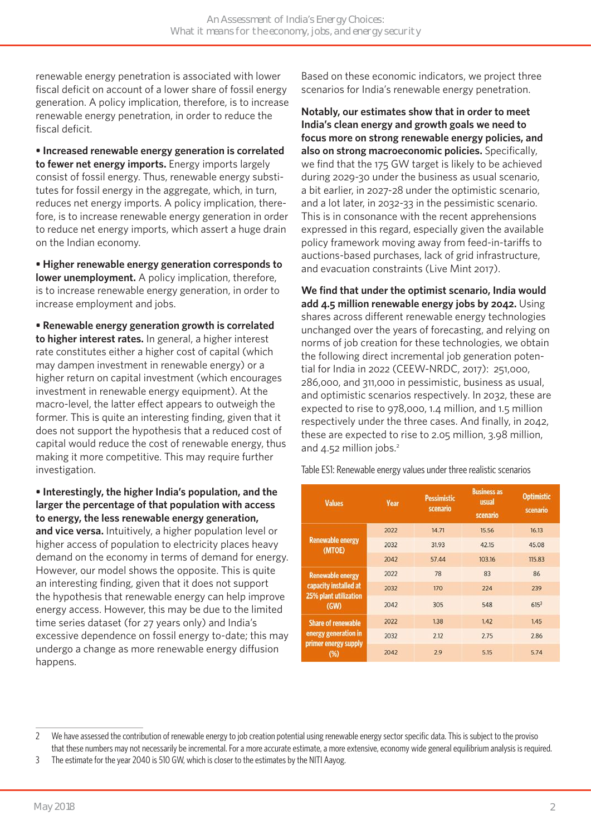renewable energy penetration is associated with lower fiscal deficit on account of a lower share of fossil energy generation. A policy implication, therefore, is to increase renewable energy penetration, in order to reduce the fiscal deficit.

**• Increased renewable energy generation is correlated to fewer net energy imports.** Energy imports largely consist of fossil energy. Thus, renewable energy substitutes for fossil energy in the aggregate, which, in turn, reduces net energy imports. A policy implication, therefore, is to increase renewable energy generation in order to reduce net energy imports, which assert a huge drain on the Indian economy.

**• Higher renewable energy generation corresponds to lower unemployment.** A policy implication, therefore, is to increase renewable energy generation, in order to increase employment and jobs.

**• Renewable energy generation growth is correlated to higher interest rates.** In general, a higher interest rate constitutes either a higher cost of capital (which may dampen investment in renewable energy) or a higher return on capital investment (which encourages investment in renewable energy equipment). At the macro-level, the latter effect appears to outweigh the former. This is quite an interesting finding, given that it does not support the hypothesis that a reduced cost of capital would reduce the cost of renewable energy, thus making it more competitive. This may require further investigation.

**• Interestingly, the higher India's population, and the larger the percentage of that population with access to energy, the less renewable energy generation, and vice versa.** Intuitively, a higher population level or higher access of population to electricity places heavy demand on the economy in terms of demand for energy. However, our model shows the opposite. This is quite an interesting finding, given that it does not support the hypothesis that renewable energy can help improve energy access. However, this may be due to the limited time series dataset (for 27 years only) and India's excessive dependence on fossil energy to-date; this may undergo a change as more renewable energy diffusion happens.

Based on these economic indicators, we project three scenarios for India's renewable energy penetration.

**Notably, our estimates show that in order to meet India's clean energy and growth goals we need to focus more on strong renewable energy policies, and also on strong macroeconomic policies.** Specifically, we find that the 175 GW target is likely to be achieved during 2029-30 under the business as usual scenario, a bit earlier, in 2027-28 under the optimistic scenario, and a lot later, in 2032-33 in the pessimistic scenario. This is in consonance with the recent apprehensions expressed in this regard, especially given the available policy framework moving away from feed-in-tariffs to auctions-based purchases, lack of grid infrastructure, and evacuation constraints (Live Mint 2017).

**We find that under the optimist scenario, India would add 4.5 million renewable energy jobs by 2042.** Using shares across different renewable energy technologies unchanged over the years of forecasting, and relying on norms of job creation for these technologies, we obtain the following direct incremental job generation potential for India in 2022 (CEEW-NRDC, 2017): 251,000, 286,000, and 311,000 in pessimistic, business as usual, and optimistic scenarios respectively. In 2032, these are expected to rise to 978,000, 1.4 million, and 1.5 million respectively under the three cases. And finally, in 2042, these are expected to rise to 2.05 million, 3.98 million, and 4.52 million jobs.<sup>2</sup>

Table ES1: Renewable energy values under three realistic scenarios

| <b>Values</b>                                                                     | Year | <b>Pessimistic</b><br>scenario | <b>Business as</b><br>usual<br>scenario | <b>Optimistic</b><br>scenario |
|-----------------------------------------------------------------------------------|------|--------------------------------|-----------------------------------------|-------------------------------|
| <b>Renewable energy</b><br>(MTOE)                                                 | 2022 | 14.71                          | 15.56                                   | 16.13                         |
|                                                                                   | 2032 | 31.93                          | 42.15                                   | 45.08                         |
|                                                                                   | 2042 | 57.44                          | 103.16                                  | 115.83                        |
| <b>Renewable energy</b><br>capacity installed at<br>25% plant utilization<br>(GW) | 2022 | 78                             | 83                                      | 86                            |
|                                                                                   | 2032 | 170                            | 224                                     | 239                           |
|                                                                                   | 2042 | 305                            | 548                                     | 615 <sup>3</sup>              |
| <b>Share of renewable</b><br>energy generation in<br>primer energy supply<br>(%)  | 2022 | 1.38                           | 1.42                                    | 1.45                          |
|                                                                                   | 2032 | 2.12                           | 2.75                                    | 2.86                          |
|                                                                                   | 2042 | 2.9                            | 5.15                                    | 5.74                          |

<sup>2</sup> We have assessed the contribution of renewable energy to job creation potential using renewable energy sector specific data. This is subject to the proviso that these numbers may not necessarily be incremental. For a more accurate estimate, a more extensive, economy wide general equilibrium analysis is required.

<sup>3</sup> The estimate for the year 2040 is 510 GW, which is closer to the estimates by the NITI Aayog.